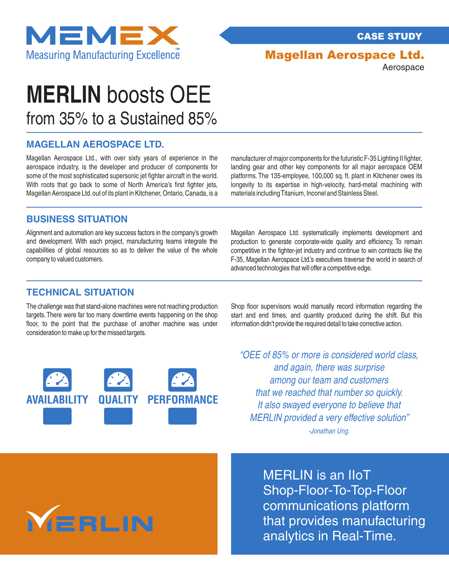

CASE STUDY

# Magellan Aerospace Ltd.

Aerospace

# from 35% to a Sustained 85% **MERLIN** boosts OEE

### **MAGELLAN AEROSPACE LTD.**

Magellan Aerospace Ltd., with over sixty years of experience in the aerospace industry, is the developer and producer of components for some of the most sophisticated supersonic jet fighter aircraft in the world. With roots that go back to some of North America's first fighter jets, Magellan Aerospace Ltd. out of its plant in Kitchener, Ontario, Canada, is a manufacturer of major components for the futuristic F-35 Lighting II fighter, landing gear and other key components for all major aerospace OEM platforms. The 135-employee, 100,000 sq. ft. plant in Kitchener owes its longevity to its expertise in high-velocity, hard-metal machining with materials including Titanium, Inconel and Stainless Steel.

### **BUSINESS SITUATION**

Alignment and automation are key success factors in the company's growth and development. With each project, manufacturing teams integrate the capabilities of global resources so as to deliver the value of the whole company to valued customers.

Magellan Aerospace Ltd. systematically implements development and production to generate corporate-wide quality and efficiency. To remain competitive in the fighter-jet industry and continue to win contracts like the F-35, Magellan Aerospace Ltd.'s executives traverse the world in search of advanced technologies that will offer a competitive edge.

#### **TECHNICAL SITUATION**

The challenge was that stand-alone machines were not reaching production targets. There were far too many downtime events happening on the shop floor, to the point that the purchase of another machine was under consideration to make up for the missed targets.

Shop floor supervisors would manually record information regarding the start and end times, and quantity produced during the shift. But this information didn't provide the required detail to take corrective action.



"OEE of 85% or more is considered world class, and again, there was surprise among our team and customers that we reached that number so quickly. It also swayed everyone to believe that MERLIN provided a very effective solution" -Jonathan Ung.

**MERLIN** 

MERLIN is an IIoT Shop-Floor-To-Top-Floor communications platform that provides manufacturing analytics in Real-Time.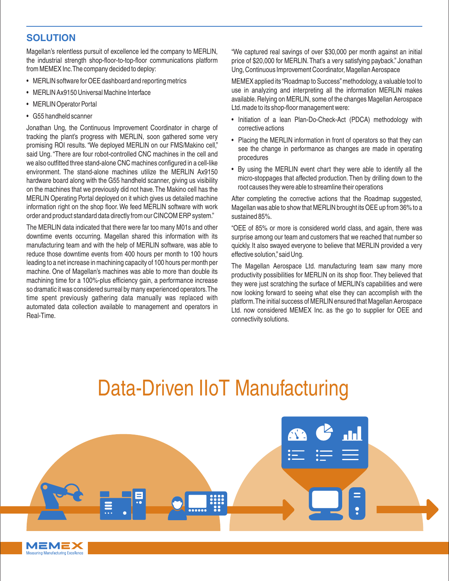## **SOLUTION**

Magellan's relentless pursuit of excellence led the company to MERLIN, the industrial strength shop-floor-to-top-floor communications platform from MEMEX Inc.The company decided to deploy:

- MERLIN software for OEE dashboard and reporting metrics
- MERLIN Ax9150 Universal Machine Interface
- MERLIN Operator Portal
- G55 handheld scanner

MEMEX Manufacturing Excellence

Jonathan Ung, the Continuous Improvement Coordinator in charge of tracking the plant's progress with MERLIN, soon gathered some very promising ROI results. "We deployed MERLIN on our FMS/Makino cell," said Ung. "There are four robot-controlled CNC machines in the cell and we also outfitted three stand-alone CNC machines configured in a cell-like environment. The stand-alone machines utilize the MERLIN Ax9150 hardware board along with the G55 handheld scanner, giving us visibility on the machines that we previously did not have.The Makino cell has the MERLIN Operating Portal deployed on it which gives us detailed machine information right on the shop floor. We feed MERLIN software with work order and product standard data directly from our CINCOM ERP system."

The MERLIN data indicated that there were far too many M01s and other downtime events occurring. Magellan shared this information with its manufacturing team and with the help of MERLIN software, was able to reduce those downtime events from 400 hours per month to 100 hours leading to a net increase in machining capacity of 100 hours per month per machine. One of Magellan's machines was able to more than double its machining time for a 100%-plus efficiency gain, a performance increase so dramatic it was considered surreal by many experienced operators.The time spent previously gathering data manually was replaced with automated data collection available to management and operators in Real-Time.

"We captured real savings of over \$30,000 per month against an initial price of \$20,000 for MERLIN.That's a very satisfying payback." Jonathan Ung, Continuous Improvement Coordinator, Magellan Aerospace

MEMEX applied its "Roadmap to Success"methodology, a valuable tool to use in analyzing and interpreting all the information MERLIN makes available. Relying on MERLIN, some of the changes Magellan Aerospace Ltd.made to its shop-floor management were:

- Initiation of a lean Plan-Do-Check-Act (PDCA) methodology with corrective actions
- Placing the MERLIN information in front of operators so that they can see the change in performance as changes are made in operating procedures
- By using the MERLIN event chart they were able to identify all the micro-stoppages that affected production.Then by drilling down to the root causes they were able to streamline their operations

After completing the corrective actions that the Roadmap suggested, Magellan was able to show that MERLIN brought its OEE up from 36% to a sustained 85%.

"OEE of 85% or more is considered world class, and again, there was surprise among our team and customers that we reached that number so quickly. It also swayed everyone to believe that MERLIN provided a very effective solution,"said Ung.

The Magellan Aerospace Ltd. manufacturing team saw many more productivity possibilities for MERLIN on its shop floor.They believed that they were just scratching the surface of MERLIN's capabilities and were now looking forward to seeing what else they can accomplish with the platform.The initial success of MERLIN ensured that Magellan Aerospace Ltd. now considered MEMEX Inc. as the go to supplier for OEE and connectivity solutions.

# Data-Driven IIoT Manufacturing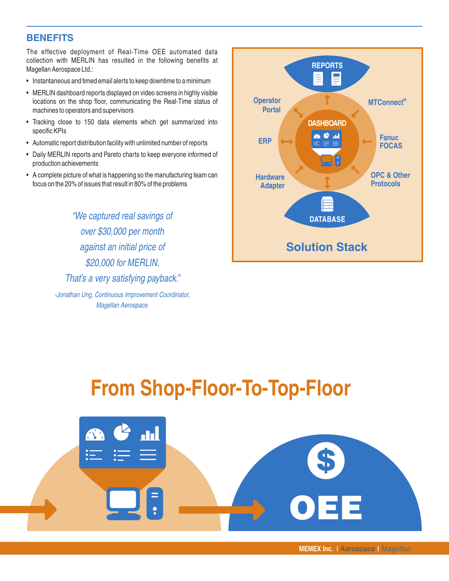### **BENEFITS**

The effective deployment of Real-Time OEE automated data collection with MERLIN has resulted in the following benefits at Magellan Aerospace Ltd.:

- Instantaneous and timed email alerts to keep downtime to a minimum
- MERLIN dashboard reports displayed on video screens in highly visible locations on the shop floor, communicating the Real-Time status of machines to operators and supervisors
- Tracking close to 150 data elements which get summarized into specific KPIs
- Automatic report distribution facility with unlimited number of reports
- Daily MERLIN reports and Pareto charts to keep everyone informed of production achievements
- A complete picture of what is happening so the manufacturing team can focus on the 20% of issues that result in 80% of the problems

"We captured real savings of over \$30,000 per month against an initial price of \$20,000 for MERLIN. That's a very satisfying payback." -Jonathan Ung, Continuous Improvement Coordinator,

Magellan Aerospace

**REPORTS**  $\equiv$ 這 **Operator ® MTConnect Portal DASHBOARD** а ¢ ш **Fanuc ERP**  $\equiv \equiv$ **FOCAS OPC & Other Hardware Protocols Adapter DATABASE Solution Stack**

# **From Shop-Floor-To-Top-Floor**



**MEMEX Inc.** I Aerospace I Magellan